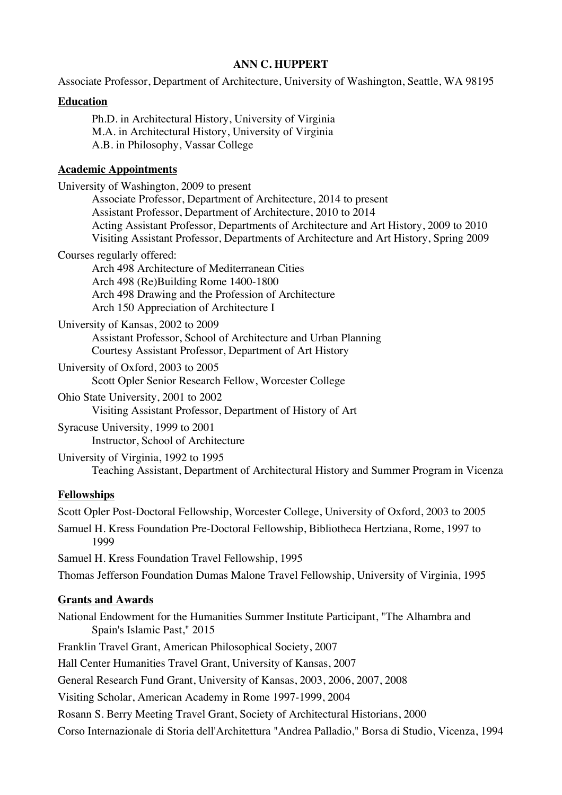Associate Professor, Department of Architecture, University of Washington, Seattle, WA 98195

## **Education**

Ph.D. in Architectural History, University of Virginia M.A. in Architectural History, University of Virginia A.B. in Philosophy, Vassar College

#### **Academic Appointments**

| University of Washington, 2009 to present<br>Associate Professor, Department of Architecture, 2014 to present<br>Assistant Professor, Department of Architecture, 2010 to 2014<br>Acting Assistant Professor, Departments of Architecture and Art History, 2009 to 2010<br>Visiting Assistant Professor, Departments of Architecture and Art History, Spring 2009 |
|-------------------------------------------------------------------------------------------------------------------------------------------------------------------------------------------------------------------------------------------------------------------------------------------------------------------------------------------------------------------|
| Courses regularly offered:<br>Arch 498 Architecture of Mediterranean Cities<br>Arch 498 (Re)Building Rome 1400-1800<br>Arch 498 Drawing and the Profession of Architecture<br>Arch 150 Appreciation of Architecture I                                                                                                                                             |
| University of Kansas, 2002 to 2009<br>Assistant Professor, School of Architecture and Urban Planning<br>Courtesy Assistant Professor, Department of Art History                                                                                                                                                                                                   |
| University of Oxford, 2003 to 2005<br>Scott Opler Senior Research Fellow, Worcester College                                                                                                                                                                                                                                                                       |
| Ohio State University, 2001 to 2002<br>Visiting Assistant Professor, Department of History of Art                                                                                                                                                                                                                                                                 |
| Syracuse University, 1999 to 2001<br>Instructor, School of Architecture                                                                                                                                                                                                                                                                                           |
| University of Virginia, 1992 to 1995<br>Teaching Assistant, Department of Architectural History and Summer Program in Vicenza                                                                                                                                                                                                                                     |
| <b>Fellowships</b>                                                                                                                                                                                                                                                                                                                                                |
| Scott Opler Post-Doctoral Fellowship, Worcester College, University of Oxford, 2003 to 2005                                                                                                                                                                                                                                                                       |
| Samuel H. Kress Foundation Pre-Doctoral Fellowship, Bibliotheca Hertziana, Rome, 1997 to<br>1999                                                                                                                                                                                                                                                                  |
| Samuel H. Kress Foundation Travel Fellowship, 1995                                                                                                                                                                                                                                                                                                                |
| Thomas Jefferson Foundation Dumas Malone Travel Fellowship, University of Virginia, 1995                                                                                                                                                                                                                                                                          |
| <b>Grants and Awards</b>                                                                                                                                                                                                                                                                                                                                          |

National Endowment for the Humanities Summer Institute Participant, "The Alhambra and Spain's Islamic Past," 2015

Franklin Travel Grant, American Philosophical Society, 2007

Hall Center Humanities Travel Grant, University of Kansas, 2007

General Research Fund Grant, University of Kansas, 2003, 2006, 2007, 2008

Visiting Scholar, American Academy in Rome 1997-1999, 2004

Rosann S. Berry Meeting Travel Grant, Society of Architectural Historians, 2000

Corso Internazionale di Storia dell'Architettura "Andrea Palladio," Borsa di Studio, Vicenza, 1994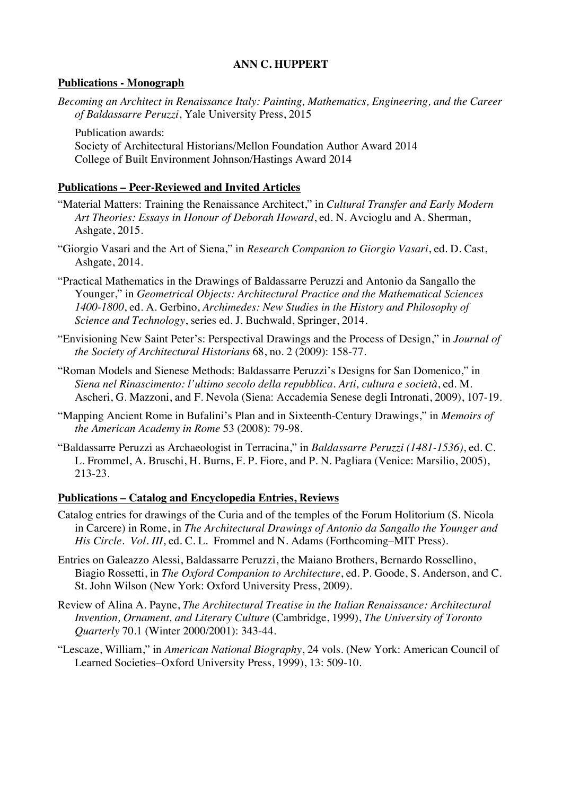### **Publications - Monograph**

*Becoming an Architect in Renaissance Italy: Painting, Mathematics, Engineering, and the Career of Baldassarre Peruzzi*, Yale University Press, 2015

Publication awards: Society of Architectural Historians/Mellon Foundation Author Award 2014 College of Built Environment Johnson/Hastings Award 2014

## **Publications – Peer-Reviewed and Invited Articles**

- "Material Matters: Training the Renaissance Architect," in *Cultural Transfer and Early Modern Art Theories: Essays in Honour of Deborah Howard*, ed. N. Avcioglu and A. Sherman, Ashgate, 2015.
- "Giorgio Vasari and the Art of Siena," in *Research Companion to Giorgio Vasari*, ed. D. Cast, Ashgate, 2014.
- "Practical Mathematics in the Drawings of Baldassarre Peruzzi and Antonio da Sangallo the Younger," in *Geometrical Objects: Architectural Practice and the Mathematical Sciences 1400-1800*, ed. A. Gerbino, *Archimedes: New Studies in the History and Philosophy of Science and Technology*, series ed. J. Buchwald, Springer, 2014.
- "Envisioning New Saint Peter's: Perspectival Drawings and the Process of Design," in *Journal of the Society of Architectural Historians* 68, no. 2 (2009): 158-77.
- "Roman Models and Sienese Methods: Baldassarre Peruzzi's Designs for San Domenico," in *Siena nel Rinascimento: l'ultimo secolo della repubblica. Arti, cultura e società*, ed. M. Ascheri, G. Mazzoni, and F. Nevola (Siena: Accademia Senese degli Intronati, 2009), 107-19.
- "Mapping Ancient Rome in Bufalini's Plan and in Sixteenth-Century Drawings," in *Memoirs of the American Academy in Rome* 53 (2008): 79-98.
- "Baldassarre Peruzzi as Archaeologist in Terracina," in *Baldassarre Peruzzi (1481-1536)*, ed. C. L. Frommel, A. Bruschi, H. Burns, F. P. Fiore, and P. N. Pagliara (Venice: Marsilio, 2005), 213-23.

#### **Publications – Catalog and Encyclopedia Entries, Reviews**

- Catalog entries for drawings of the Curia and of the temples of the Forum Holitorium (S. Nicola in Carcere) in Rome, in *The Architectural Drawings of Antonio da Sangallo the Younger and His Circle. Vol. III*, ed. C. L. Frommel and N. Adams (Forthcoming–MIT Press).
- Entries on Galeazzo Alessi, Baldassarre Peruzzi, the Maiano Brothers, Bernardo Rossellino, Biagio Rossetti, in *The Oxford Companion to Architecture*, ed. P. Goode, S. Anderson, and C. St. John Wilson (New York: Oxford University Press, 2009).
- Review of Alina A. Payne, *The Architectural Treatise in the Italian Renaissance: Architectural Invention, Ornament, and Literary Culture* (Cambridge, 1999), *The University of Toronto Quarterly* 70.1 (Winter 2000/2001): 343-44.
- "Lescaze, William," in *American National Biography*, 24 vols. (New York: American Council of Learned Societies–Oxford University Press, 1999), 13: 509-10.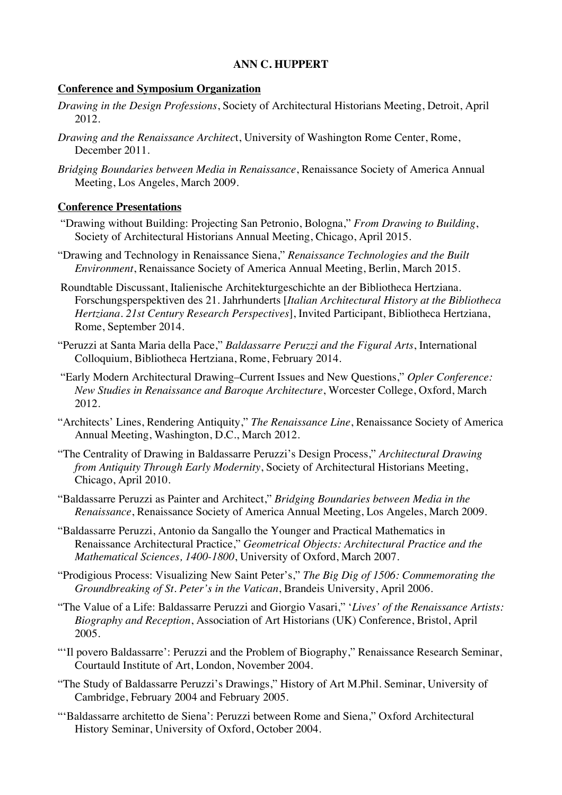## **Conference and Symposium Organization**

- *Drawing in the Design Professions*, Society of Architectural Historians Meeting, Detroit, April 2012.
- *Drawing and the Renaissance Architec*t, University of Washington Rome Center, Rome, December 2011.
- *Bridging Boundaries between Media in Renaissance*, Renaissance Society of America Annual Meeting, Los Angeles, March 2009.

#### **Conference Presentations**

- "Drawing without Building: Projecting San Petronio, Bologna," *From Drawing to Building*, Society of Architectural Historians Annual Meeting, Chicago, April 2015.
- "Drawing and Technology in Renaissance Siena," *Renaissance Technologies and the Built Environment*, Renaissance Society of America Annual Meeting, Berlin, March 2015.
- Roundtable Discussant, Italienische Architekturgeschichte an der Bibliotheca Hertziana. Forschungsperspektiven des 21. Jahrhunderts [*Italian Architectural History at the Bibliotheca Hertziana. 21st Century Research Perspectives*], Invited Participant, Bibliotheca Hertziana, Rome, September 2014.
- "Peruzzi at Santa Maria della Pace," *Baldassarre Peruzzi and the Figural Arts*, International Colloquium, Bibliotheca Hertziana, Rome, February 2014.
- "Early Modern Architectural Drawing–Current Issues and New Questions," *Opler Conference: New Studies in Renaissance and Baroque Architecture*, Worcester College, Oxford, March 2012.
- "Architects' Lines, Rendering Antiquity," *The Renaissance Line*, Renaissance Society of America Annual Meeting, Washington, D.C., March 2012.
- "The Centrality of Drawing in Baldassarre Peruzzi's Design Process," *Architectural Drawing from Antiquity Through Early Modernity*, Society of Architectural Historians Meeting, Chicago, April 2010.
- "Baldassarre Peruzzi as Painter and Architect," *Bridging Boundaries between Media in the Renaissance*, Renaissance Society of America Annual Meeting, Los Angeles, March 2009.
- "Baldassarre Peruzzi, Antonio da Sangallo the Younger and Practical Mathematics in Renaissance Architectural Practice," *Geometrical Objects: Architectural Practice and the Mathematical Sciences, 1400-1800*, University of Oxford, March 2007.
- "Prodigious Process: Visualizing New Saint Peter's," *The Big Dig of 1506: Commemorating the Groundbreaking of St. Peter's in the Vatican*, Brandeis University, April 2006.
- "The Value of a Life: Baldassarre Peruzzi and Giorgio Vasari," '*Lives' of the Renaissance Artists: Biography and Reception*, Association of Art Historians (UK) Conference, Bristol, April 2005.
- "'Il povero Baldassarre': Peruzzi and the Problem of Biography," Renaissance Research Seminar, Courtauld Institute of Art, London, November 2004.
- "The Study of Baldassarre Peruzzi's Drawings," History of Art M.Phil. Seminar, University of Cambridge, February 2004 and February 2005.
- "'Baldassarre architetto de Siena': Peruzzi between Rome and Siena," Oxford Architectural History Seminar, University of Oxford, October 2004.